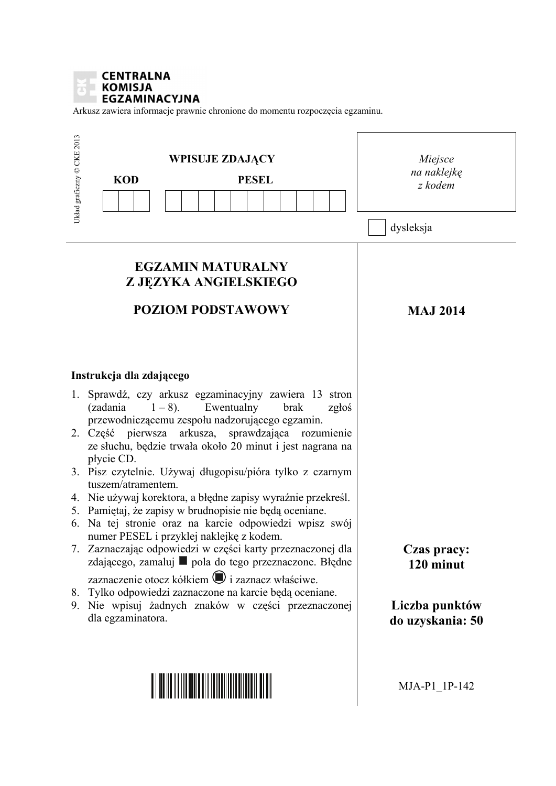

Arkusz zawiera informacje prawnie chronione do momentu rozpoczęcia egzaminu.

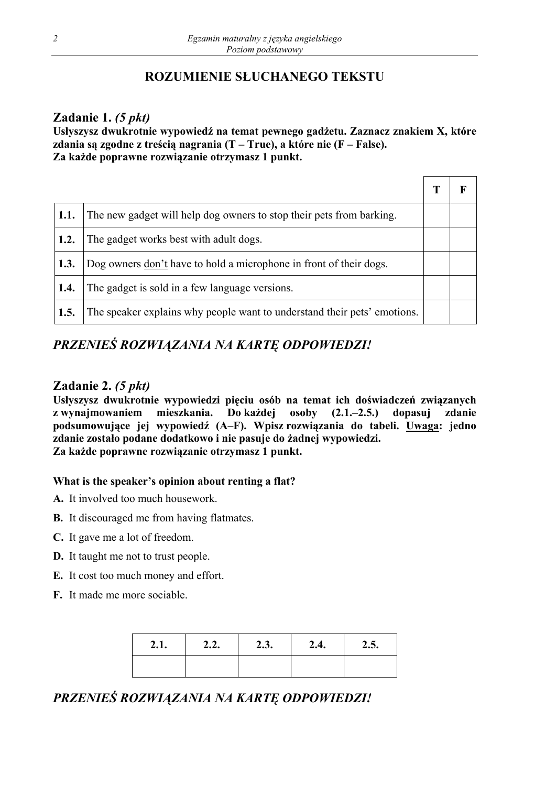## **ROZUMIENIE SŁUCHANEGO TEKSTU**

## **Zadanie 1.** *(5 pkt)*

**Usłyszysz dwukrotnie wypowiedź na temat pewnego gadżetu. Zaznacz znakiem X, które zdania są zgodne z treścią nagrania (T – True), a które nie (F – False). Za każde poprawne rozwiązanie otrzymasz 1 punkt.** 

| <b>1.1.</b> | The new gadget will help dog owners to stop their pets from barking.     |  |
|-------------|--------------------------------------------------------------------------|--|
| 1.2.        | The gadget works best with a dult dogs.                                  |  |
| 1.3.        | Dog owners don't have to hold a microphone in front of their dogs.       |  |
| 1.4.        | The gadget is sold in a few language versions.                           |  |
| 1.5.        | The speaker explains why people want to understand their pets' emotions. |  |

## *PRZENIEŚ ROZWIĄZANIA NA KARTĘ ODPOWIEDZI!*

## **Zadanie 2.** *(5 pkt)*

**Usłyszysz dwukrotnie wypowiedzi pięciu osób na temat ich doświadczeń związanych z wynajmowaniem mieszkania. Do każdej osoby (2.1.–2.5.) dopasuj zdanie podsumowujące jej wypowiedź (A–F). Wpisz rozwiązania do tabeli. Uwaga: jedno zdanie zostało podane dodatkowo i nie pasuje do żadnej wypowiedzi. Za każde poprawne rozwiązanie otrzymasz 1 punkt.** 

### **What is the speaker's opinion about renting a flat?**

- **A.** It involved too much housework.
- **B.** It discouraged me from having flatmates.
- **C.** It gave me a lot of freedom.
- **D.** It taught me not to trust people.
- **E.** It cost too much money and effort.
- **F.** It made me more sociable.

| ◠<br>$\mathbf{L}.\mathbf{I}$ | 2.2. | 2.3. | 2.4. | 2.5. |
|------------------------------|------|------|------|------|
|                              |      |      |      |      |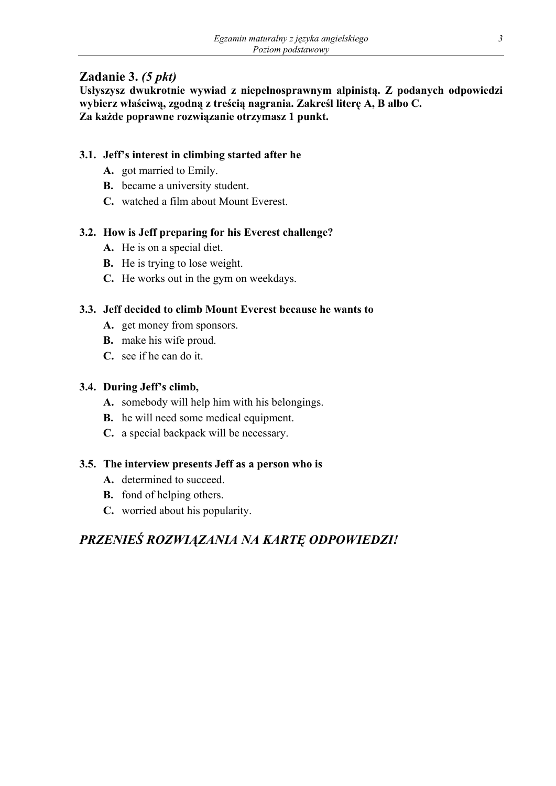## **Zadanie 3.** *(5 pkt)*

**Usłyszysz dwukrotnie wywiad z niepełnosprawnym alpinistą. Z podanych odpowiedzi wybierz właściwą, zgodną z treścią nagrania. Zakreśl literę A, B albo C. Za każde poprawne rozwiązanie otrzymasz 1 punkt.** 

## **3.1. Jeff's interest in climbing started after he**

- **A.** got married to Emily.
- **B.** became a university student.
- **C.** watched a film about Mount Everest.

## **3.2. How is Jeff preparing for his Everest challenge?**

- **A.** He is on a special diet.
- **B.** He is trying to lose weight.
- **C.** He works out in the gym on weekdays.

### **3.3. Jeff decided to climb Mount Everest because he wants to**

- **A.** get money from sponsors.
- **B.** make his wife proud.
- **C.** see if he can do it.

## **3.4. During Jeff's climb,**

- **A.** somebody will help him with his belongings.
- **B.** he will need some medical equipment.
- **C.** a special backpack will be necessary.

### **3.5. The interview presents Jeff as a person who is**

- **A.** determined to succeed.
- **B.** fond of helping others.
- **C.** worried about his popularity.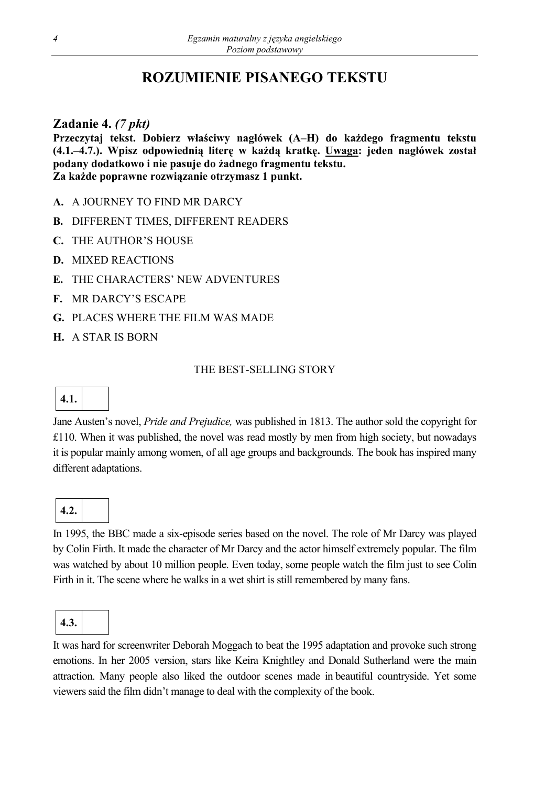# **ROZUMIENIE PISANEGO TEKSTU**

## **Zadanie 4.** *(7 pkt)*

**Przeczytaj tekst. Dobierz właściwy nagłówek (A–H) do każdego fragmentu tekstu (4.1.–4.7.). Wpisz odpowiednią literę w każdą kratkę. Uwaga: jeden nagłówek został podany dodatkowo i nie pasuje do żadnego fragmentu tekstu. Za każde poprawne rozwiązanie otrzymasz 1 punkt.** 

- **A.** A JOURNEY TO FIND MR DARCY
- **B.** DIFFERENT TIMES, DIFFERENT READERS
- **C.** THE AUTHOR'S HOUSE
- **D.** MIXED REACTIONS
- **E.** THE CHARACTERS' NEW ADVENTURES
- **F.** MR DARCY'S ESCAPE
- **G.** PLACES WHERE THE FILM WAS MADE
- **H.** A STAR IS BORN

### THE BEST-SELLING STORY

## **4.1.**

Jane Austen's novel, *Pride and Prejudice,* was published in 1813. The author sold the copyright for £110. When it was published, the novel was read mostly by men from high society, but nowadays it is popular mainly among women, of all age groups and backgrounds. The book has inspired many different adaptations.

# **4.2.**

In 1995, the BBC made a six-episode series based on the novel. The role of Mr Darcy was played by Colin Firth. It made the character of Mr Darcy and the actor himself extremely popular. The film was watched by about 10 million people. Even today, some people watch the film just to see Colin Firth in it. The scene where he walks in a wet shirt is still remembered by many fans.

**4.3.** 

It was hard for screenwriter Deborah Moggach to beat the 1995 adaptation and provoke such strong emotions. In her 2005 version, stars like Keira Knightley and Donald Sutherland were the main attraction. Many people also liked the outdoor scenes made in beautiful countryside. Yet some viewers said the film didn't manage to deal with the complexity of the book.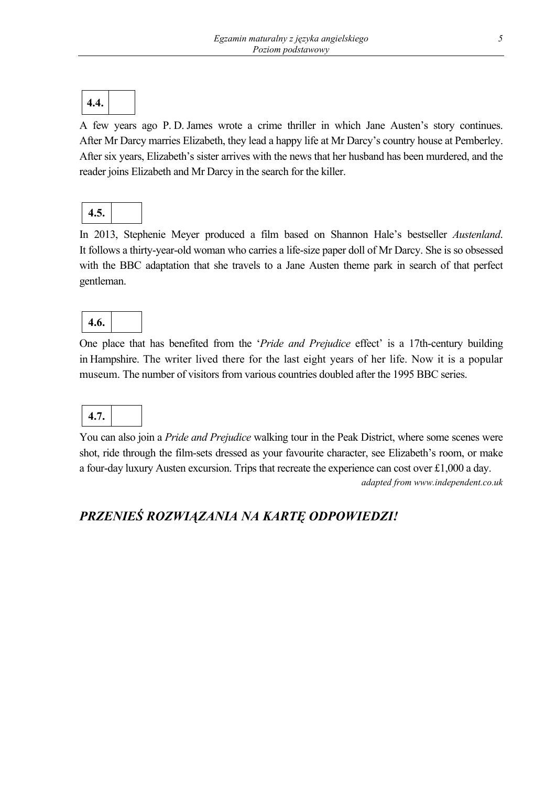

A few years ago P. D. James wrote a crime thriller in which Jane Austen's story continues. After Mr Darcy marries Elizabeth, they lead a happy life at Mr Darcy's country house at Pemberley. After six years, Elizabeth's sister arrives with the news that her husband has been murdered, and the reader joins Elizabeth and Mr Darcy in the search for the killer.

|--|

In 2013, Stephenie Meyer produced a film based on Shannon Hale's bestseller *Austenland*. It follows a thirty-year-old woman who carries a life-size paper doll of Mr Darcy. She is so obsessed with the BBC adaptation that she travels to a Jane Austen theme park in search of that perfect gentleman.

| .ប.<br>Ŧ |
|----------|
|----------|

One place that has benefited from the '*Pride and Prejudice* effect' is a 17th-century building in Hampshire. The writer lived there for the last eight years of her life. Now it is a popular museum. The number of visitors from various countries doubled after the 1995 BBC series.



You can also join a *Pride and Prejudice* walking tour in the Peak District, where some scenes were shot, ride through the film-sets dressed as your favourite character, see Elizabeth's room, or make a four-day luxury Austen excursion. Trips that recreate the experience can cost over £1,000 a day. *adapted from www.independent.co.uk*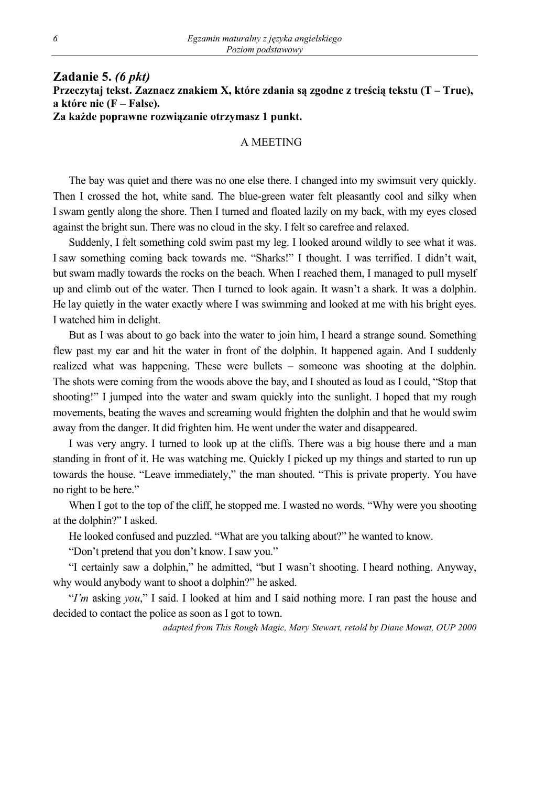#### **Zadanie 5.** *(6 pkt)*  **Przeczytaj tekst. Zaznacz znakiem X, które zdania są zgodne z treścią tekstu (T – True), a które nie (F – False). Za każde poprawne rozwiązanie otrzymasz 1 punkt.**

#### A MEETING

The bay was quiet and there was no one else there. I changed into my swimsuit very quickly. Then I crossed the hot, white sand. The blue-green water felt pleasantly cool and silky when I swam gently along the shore. Then I turned and floated lazily on my back, with my eyes closed against the bright sun. There was no cloud in the sky. I felt so carefree and relaxed.

Suddenly, I felt something cold swim past my leg. I looked around wildly to see what it was. I saw something coming back towards me. "Sharks!" I thought. I was terrified. I didn't wait, but swam madly towards the rocks on the beach. When I reached them, I managed to pull myself up and climb out of the water. Then I turned to look again. It wasn't a shark. It was a dolphin. He lay quietly in the water exactly where I was swimming and looked at me with his bright eyes. I watched him in delight.

But as I was about to go back into the water to join him, I heard a strange sound. Something flew past my ear and hit the water in front of the dolphin. It happened again. And I suddenly realized what was happening. These were bullets – someone was shooting at the dolphin. The shots were coming from the woods above the bay, and I shouted as loud as I could, "Stop that shooting!" I jumped into the water and swam quickly into the sunlight. I hoped that my rough movements, beating the waves and screaming would frighten the dolphin and that he would swim away from the danger. It did frighten him. He went under the water and disappeared.

I was very angry. I turned to look up at the cliffs. There was a big house there and a man standing in front of it. He was watching me. Quickly I picked up my things and started to run up towards the house. "Leave immediately," the man shouted. "This is private property. You have no right to be here."

When I got to the top of the cliff, he stopped me. I wasted no words. "Why were you shooting at the dolphin?" I asked.

He looked confused and puzzled. "What are you talking about?" he wanted to know.

"Don't pretend that you don't know. I saw you."

"I certainly saw a dolphin," he admitted, "but I wasn't shooting. I heard nothing. Anyway, why would anybody want to shoot a dolphin?" he asked.

"*I'm* asking *you*," I said. I looked at him and I said nothing more. I ran past the house and decided to contact the police as soon as I got to town.

*adapted from This Rough Magic, Mary Stewart, retold by Diane Mowat, OUP 2000*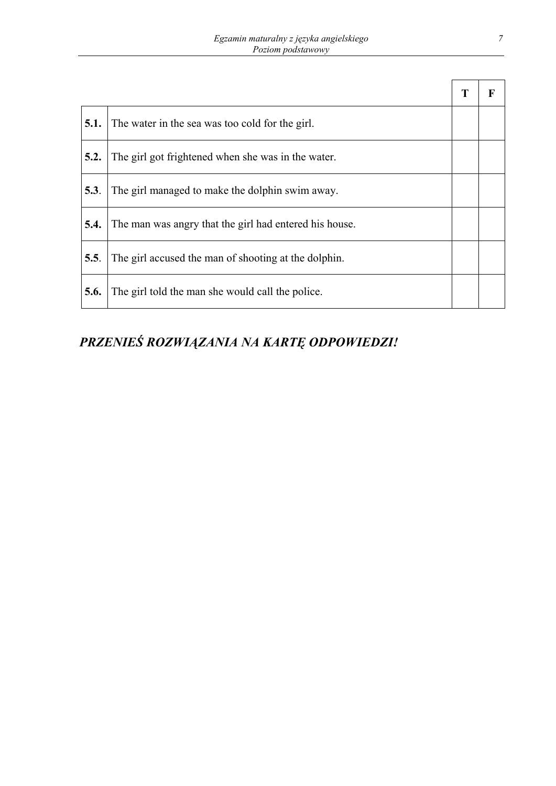| 5.1. | The water in the sea was too cold for the girl.        |  |
|------|--------------------------------------------------------|--|
| 5.2. | The girl got frightened when she was in the water.     |  |
| 5.3. | The girl managed to make the dolphin swim away.        |  |
| 5.4. | The man was angry that the girl had entered his house. |  |
| 5.5. | The girl accused the man of shooting at the dolphin.   |  |
| 5.6. | The girl told the man she would call the police.       |  |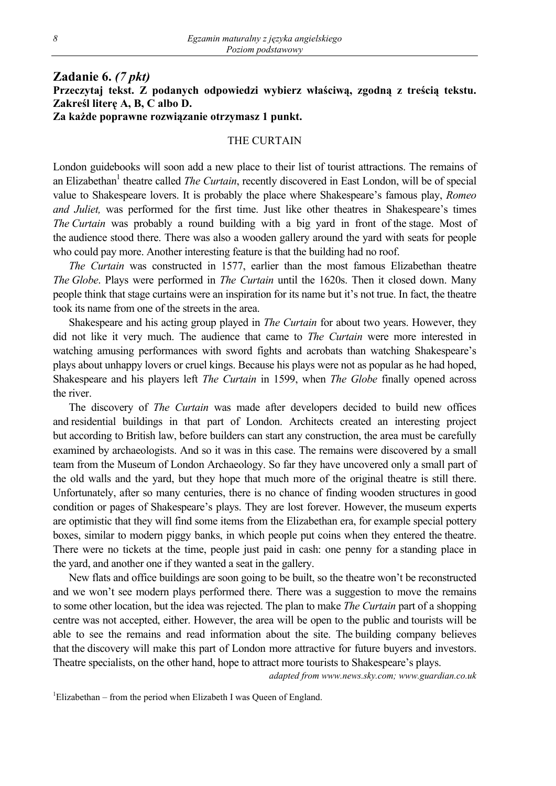#### **Zadanie 6.** *(7 pkt)* **Przeczytaj tekst. Z podanych odpowiedzi wybierz właściwą, zgodną z treścią tekstu. Zakreśl literę A, B, C albo D. Za każde poprawne rozwiązanie otrzymasz 1 punkt.**

#### THE CURTAIN

London guidebooks will soon add a new place to their list of tourist attractions. The remains of an Elizabethan<sup>1</sup> theatre called *The Curtain*, recently discovered in East London, will be of special value to Shakespeare lovers. It is probably the place where Shakespeare's famous play, *Romeo and Juliet,* was performed for the first time. Just like other theatres in Shakespeare's times *The Curtain* was probably a round building with a big yard in front of the stage. Most of the audience stood there. There was also a wooden gallery around the yard with seats for people who could pay more. Another interesting feature is that the building had no roof.

*The Curtain* was constructed in 1577, earlier than the most famous Elizabethan theatre *The Globe*. Plays were performed in *The Curtain* until the 1620s. Then it closed down. Many people think that stage curtains were an inspiration for its name but it's not true. In fact, the theatre took its name from one of the streets in the area.

Shakespeare and his acting group played in *The Curtain* for about two years. However, they did not like it very much. The audience that came to *The Curtain* were more interested in watching amusing performances with sword fights and acrobats than watching Shakespeare's plays about unhappy lovers or cruel kings. Because his plays were not as popular as he had hoped, Shakespeare and his players left *The Curtain* in 1599, when *The Globe* finally opened across the river.

The discovery of *The Curtain* was made after developers decided to build new offices and residential buildings in that part of London. Architects created an interesting project but according to British law, before builders can start any construction, the area must be carefully examined by archaeologists. And so it was in this case. The remains were discovered by a small team from the Museum of London Archaeology. So far they have uncovered only a small part of the old walls and the yard, but they hope that much more of the original theatre is still there. Unfortunately, after so many centuries, there is no chance of finding wooden structures in good condition or pages of Shakespeare's plays. They are lost forever. However, the museum experts are optimistic that they will find some items from the Elizabethan era, for example special pottery boxes, similar to modern piggy banks, in which people put coins when they entered the theatre. There were no tickets at the time, people just paid in cash: one penny for a standing place in the yard, and another one if they wanted a seat in the gallery.

New flats and office buildings are soon going to be built, so the theatre won't be reconstructed and we won't see modern plays performed there. There was a suggestion to move the remains to some other location, but the idea was rejected. The plan to make *The Curtain* part of a shopping centre was not accepted, either. However, the area will be open to the public and tourists will be able to see the remains and read information about the site. The building company believes that the discovery will make this part of London more attractive for future buyers and investors. Theatre specialists, on the other hand, hope to attract more tourists to Shakespeare's plays.

*adapted from www.news.sky.com; www.guardian.co.uk* 

<sup>1</sup>Elizabethan – from the period when Elizabeth I was Queen of England.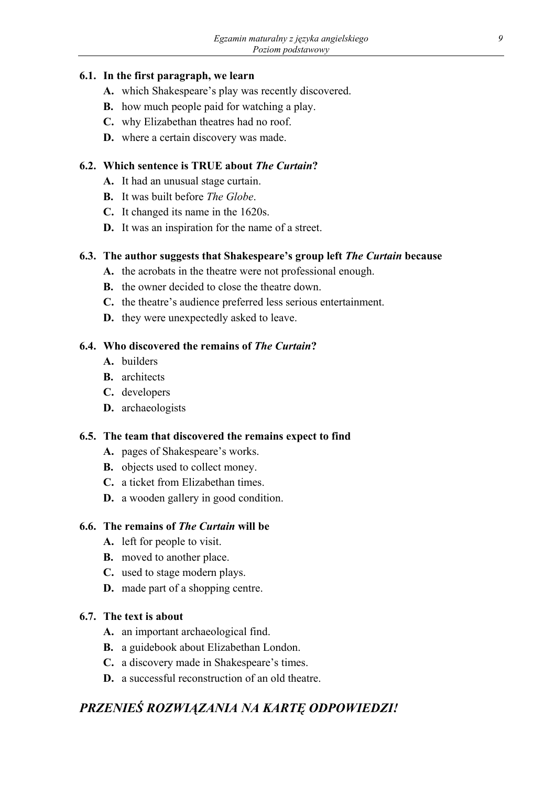#### **6.1. In the first paragraph, we learn**

- **A.** which Shakespeare's play was recently discovered.
- **B.** how much people paid for watching a play.
- **C.** why Elizabethan theatres had no roof.
- **D.** where a certain discovery was made.

#### **6.2. Which sentence is TRUE about** *The Curtain***?**

- **A.** It had an unusual stage curtain.
- **B.** It was built before *The Globe*.
- **C.** It changed its name in the 1620s.
- **D.** It was an inspiration for the name of a street.

#### **6.3. The author suggests that Shakespeare's group left** *The Curtain* **because**

- **A.** the acrobats in the theatre were not professional enough.
- **B.** the owner decided to close the theatre down.
- **C.** the theatre's audience preferred less serious entertainment.
- **D.** they were unexpectedly asked to leave.

#### **6.4. Who discovered the remains of** *The Curtain***?**

- **A.** builders
- **B.** architects
- **C.** developers
- **D.** archaeologists

#### **6.5. The team that discovered the remains expect to find**

- **A.** pages of Shakespeare's works.
- **B.** objects used to collect money.
- **C.** a ticket from Elizabethan times.
- **D.** a wooden gallery in good condition.

#### **6.6. The remains of** *The Curtain* **will be**

- **A.** left for people to visit.
- **B.** moved to another place.
- **C.** used to stage modern plays.
- **D.** made part of a shopping centre.

#### **6.7. The text is about**

- **A.** an important archaeological find.
- **B.** a guidebook about Elizabethan London.
- **C.** a discovery made in Shakespeare's times.
- **D.** a successful reconstruction of an old theatre.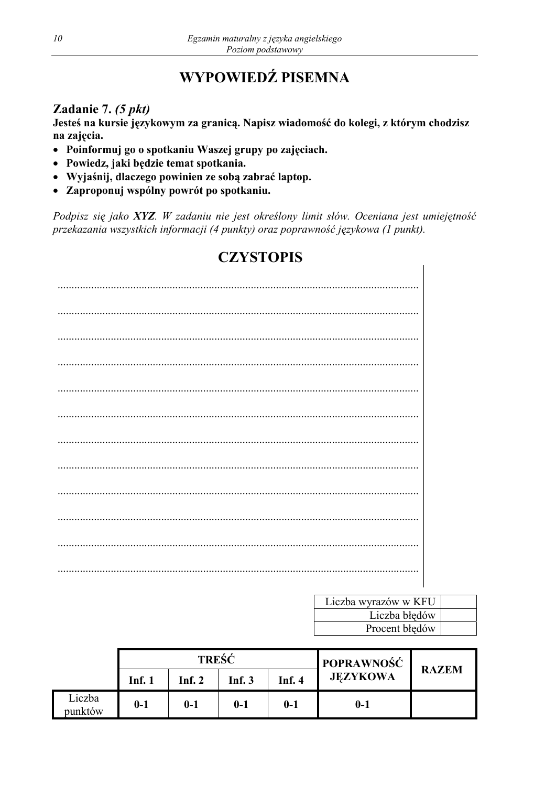# WYPOWIEDŹ PISEMNA

## Zadanie 7. (5 pkt)

Jesteś na kursie językowym za granicą. Napisz wiadomość do kolegi, z którym chodzisz na zajęcia.

- · Poinformuj go o spotkaniu Waszej grupy po zajęciach.
- · Powiedz, jaki będzie temat spotkania.
- · Wyjaśnij, dlaczego powinien ze sobą zabrać laptop.
- Zaproponuj wspólny powrót po spotkaniu.

Podpisz się jako XYZ. W zadaniu nie jest określony limit słów. Oceniana jest umiejętność przekazania wszystkich informacji (4 punkty) oraz poprawność językowa (1 punkt).

# **CZYSTOPIS**

| Liczba wyrazów w KFU |  |
|----------------------|--|
| Liczba błędów        |  |
| Procent błędów       |  |

|                   | TREŚĆ  |        |               |          | <b>POPRAWNOŚĆ</b> |              |  |
|-------------------|--------|--------|---------------|----------|-------------------|--------------|--|
|                   | Inf. 1 | Inf. 2 | <b>Inf. 3</b> | Inf. $4$ | <b>JEZYKOWA</b>   | <b>RAZEM</b> |  |
| Liczba<br>punktów | $0-1$  | $0-1$  | $0-1$         | $0-1$    | $0-1$             |              |  |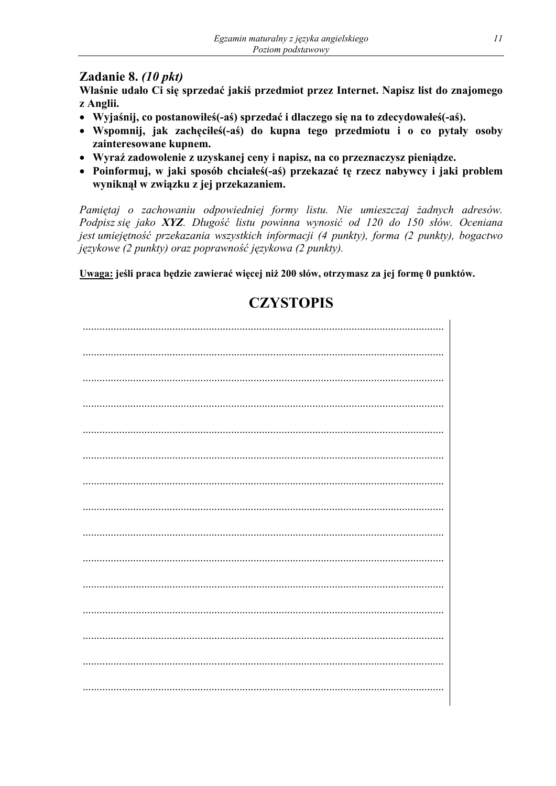## Zadanie 8. (10 pkt)

Właśnie udało Ci się sprzedać jakiś przedmiot przez Internet. Napisz list do znajomego z Anglii.

- Wyjaśnij, co postanowiłeś(-aś) sprzedać i dlaczego się na to zdecydowałeś(-aś).
- Wspomnij, jak zachęciłeś(-aś) do kupna tego przedmiotu i o co pytały osoby zainteresowane kupnem.
- · Wyraź zadowolenie z uzyskanej ceny i napisz, na co przeznaczysz pieniądze.
- Poinformuj, w jaki sposób chciałeś(-aś) przekazać tę rzecz nabywcy i jaki problem wyniknął w związku z jej przekazaniem.

Pamiętaj o zachowaniu odpowiedniej formy listu. Nie umieszczaj żadnych adresów. Podpisz się jako XYZ. Długość listu powinna wynosić od 120 do 150 słów. Oceniana jest umiejętność przekazania wszystkich informacji (4 punkty), forma (2 punkty), bogactwo językowe (2 punkty) oraz poprawność językowa (2 punkty).

Uwaga: jeśli praca będzie zawierać więcej niż 200 słów, otrzymasz za jej formę 0 punktów.

# **CZYSTOPIS**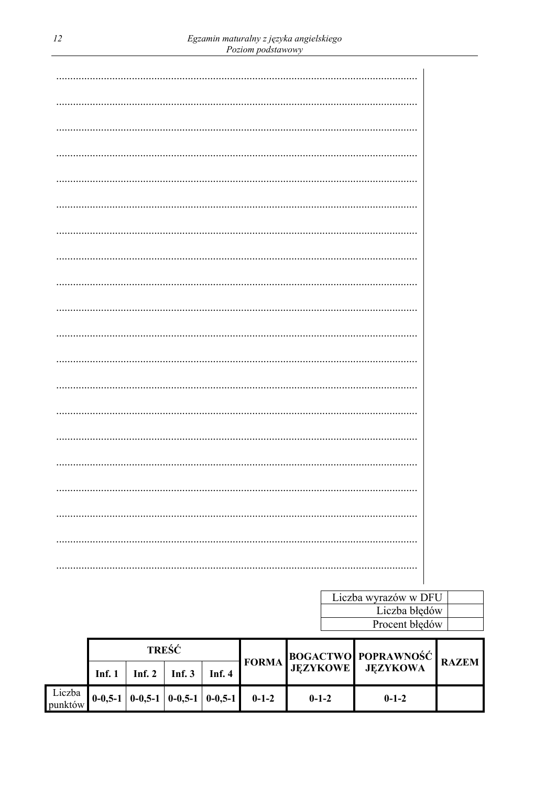| <br> |
|------|
|      |
|      |

| Liczba wyrazów w DFU |  |
|----------------------|--|
| Liczba błędów        |  |
| Procent błędów       |  |

|                   | <b>TREŚĆ</b> |                                                                                                                                                                                             |          |          | FORMA BOGACTWO POPRAWNOŚĆ RAZEM |             |  |
|-------------------|--------------|---------------------------------------------------------------------------------------------------------------------------------------------------------------------------------------------|----------|----------|---------------------------------|-------------|--|
|                   | Inf. 1       | Inf. 2                                                                                                                                                                                      | Inf. $3$ | Inf. $4$ |                                 |             |  |
| Liczba<br>punktów |              | $\begin{bmatrix} 0 & -0 & 5 & -1 \end{bmatrix}$ $\begin{bmatrix} 0 & -0 & 5 & -1 \end{bmatrix}$ $\begin{bmatrix} 0 & -0 & 5 & -1 \end{bmatrix}$ $\begin{bmatrix} 0 & -1 & -2 \end{bmatrix}$ |          |          | $0 - 1 - 2$                     | $0 - 1 - 2$ |  |